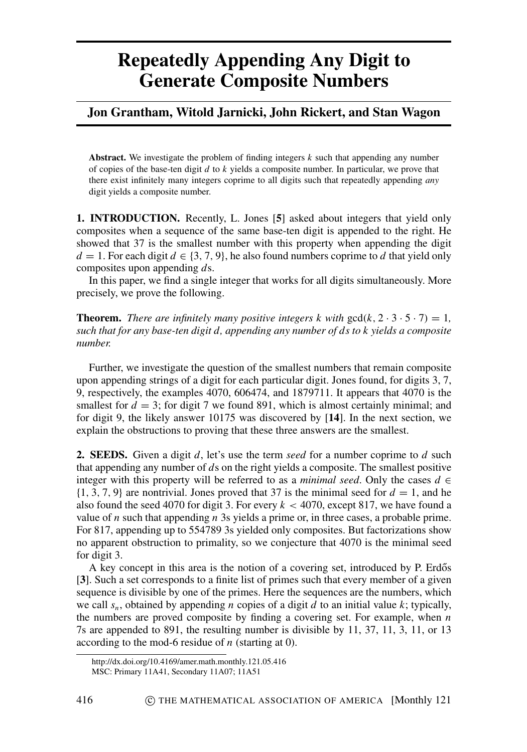## **Repeatedly Appending Any Digit to Generate Composite Numbers**

## **Jon Grantham, Witold Jarnicki, John Rickert, and Stan Wagon**

**Abstract.** We investigate the problem of finding integers *k* such that appending any number of copies of the base-ten digit *d* to *k* yields a composite number. In particular, we prove that there exist infinitely many integers coprime to all digits such that repeatedly appending *any* digit yields a composite number.

**1. INTRODUCTION.** Recently, L. Jones [**[5](#page-5-0)**] asked about integers that yield only composites when a sequence of the same base-ten digit is appended to the right. He showed that 37 is the smallest number with this property when appending the digit *d* = 1. For each digit *d*  $\in$  {3, 7, 9}, he also found numbers coprime to *d* that yield only composites upon appending *d*s.

In this paper, we find a single integer that works for all digits simultaneously. More precisely, we prove the following.

**Theorem.** *There are infinitely many positive integers k with*  $gcd(k, 2 \cdot 3 \cdot 5 \cdot 7) = 1$ , *such that for any base-ten digit d, appending any number of ds to k yields a composite number.*

Further, we investigate the question of the smallest numbers that remain composite upon appending strings of a digit for each particular digit. Jones found, for digits 3, 7, 9, respectively, the examples 4070, 606474, and 1879711. It appears that 4070 is the smallest for  $d = 3$ ; for digit 7 we found 891, which is almost certainly minimal; and for digit 9, the likely answer 10175 was discovered by [**[14](#page-5-1)**]. In the next section, we explain the obstructions to proving that these three answers are the smallest.

**2. SEEDS.** Given a digit *d*, let's use the term *seed* for a number coprime to *d* such that appending any number of *d*s on the right yields a composite. The smallest positive integer with this property will be referred to as a *minimal seed*. Only the cases  $d \in$  $\{1, 3, 7, 9\}$  are nontrivial. Jones proved that 37 is the minimal seed for  $d = 1$ , and he also found the seed 4070 for digit 3. For every  $k < 4070$ , except 817, we have found a value of *n* such that appending *n* 3s yields a prime or, in three cases, a probable prime. For 817, appending up to 554789 3s yielded only composites. But factorizations show no apparent obstruction to primality, so we conjecture that 4070 is the minimal seed for digit 3.

A key concept in this area is the notion of a covering set, introduced by P. Erdős [**[3](#page-5-2)**]. Such a set corresponds to a finite list of primes such that every member of a given sequence is divisible by one of the primes. Here the sequences are the numbers, which we call *sn*, obtained by appending *n* copies of a digit *d* to an initial value *k*; typically, the numbers are proved composite by finding a covering set. For example, when *n* 7s are appended to 891, the resulting number is divisible by 11, 37, 11, 3, 11, or 13 according to the mod-6 residue of *n* (starting at 0).

http://dx.doi.org/10.4169/amer.math.monthly.121.05.416

MSC: Primary 11A41, Secondary 11A07; 11A51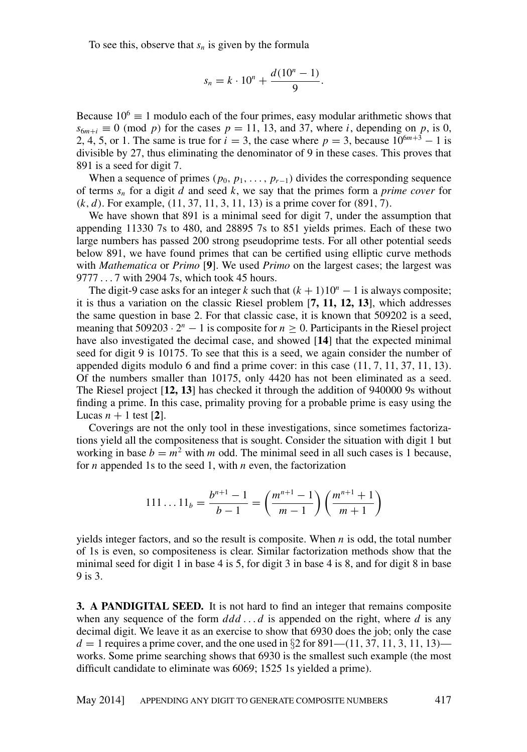To see this, observe that  $s_n$  is given by the formula

$$
s_n = k \cdot 10^n + \frac{d(10^n - 1)}{9}.
$$

Because  $10^6 \equiv 1$  modulo each of the four primes, easy modular arithmetic shows that  $s_{6m+i} \equiv 0 \pmod{p}$  for the cases  $p = 11, 13$ , and 37, where *i*, depending on *p*, is 0, 2, 4, 5, or 1. The same is true for  $i = 3$ , the case where  $p = 3$ , because  $10^{6m+3} - 1$  is divisible by 27, thus eliminating the denominator of 9 in these cases. This proves that 891 is a seed for digit 7.

When a sequence of primes ( $p_0, p_1, \ldots, p_{r-1}$ ) divides the corresponding sequence of terms *s<sup>n</sup>* for a digit *d* and seed *k*, we say that the primes form a *prime cover* for (*k*, *d*). For example, (11, 37, 11, 3, 11, 13) is a prime cover for (891, 7).

We have shown that 891 is a minimal seed for digit 7, under the assumption that appending 11330 7s to 480, and 28895 7s to 851 yields primes. Each of these two large numbers has passed 200 strong pseudoprime tests. For all other potential seeds below 891, we have found primes that can be certified using elliptic curve methods with *Mathematica* or *Primo* [**[9](#page-5-3)**]. We used *Primo* on the largest cases; the largest was 9777 . . . 7 with 2904 7s, which took 45 hours.

The digit-9 case asks for an integer *k* such that  $(k + 1)10<sup>n</sup> - 1$  is always composite; it is thus a variation on the classic Riesel problem [**[7,](#page-5-4) [11,](#page-5-5) [12,](#page-5-6) [13](#page-5-7)**], which addresses the same question in base 2. For that classic case, it is known that 509202 is a seed, meaning that  $509203 \cdot 2^n - 1$  is composite for  $n \ge 0$ . Participants in the Riesel project have also investigated the decimal case, and showed [**[14](#page-5-1)**] that the expected minimal seed for digit 9 is 10175. To see that this is a seed, we again consider the number of appended digits modulo 6 and find a prime cover: in this case (11, 7, 11, 37, 11, 13). Of the numbers smaller than 10175, only 4420 has not been eliminated as a seed. The Riesel project [**[12,](#page-5-6) [13](#page-5-7)**] has checked it through the addition of 940000 9s without finding a prime. In this case, primality proving for a probable prime is easy using the Lucas  $n + 1$  test [[2](#page-5-8)].

Coverings are not the only tool in these investigations, since sometimes factorizations yield all the compositeness that is sought. Consider the situation with digit 1 but working in base  $b = m^2$  with *m* odd. The minimal seed in all such cases is 1 because, for *n* appended 1s to the seed 1, with *n* even, the factorization

$$
111 \dots 11_b = \frac{b^{n+1} - 1}{b - 1} = \left(\frac{m^{n+1} - 1}{m - 1}\right) \left(\frac{m^{n+1} + 1}{m + 1}\right)
$$

yields integer factors, and so the result is composite. When *n* is odd, the total number of 1s is even, so compositeness is clear. Similar factorization methods show that the minimal seed for digit 1 in base 4 is 5, for digit 3 in base 4 is 8, and for digit 8 in base 9 is 3.

**3. A PANDIGITAL SEED.** It is not hard to find an integer that remains composite when any sequence of the form  $ddd \dots d$  is appended on the right, where  $d$  is any decimal digit. We leave it as an exercise to show that 6930 does the job; only the case *d* = 1 requires a prime cover, and the one used in  $\S$ 2 for 891–(11, 37, 11, 3, 11, 13)– works. Some prime searching shows that 6930 is the smallest such example (the most difficult candidate to eliminate was 6069; 1525 1s yielded a prime).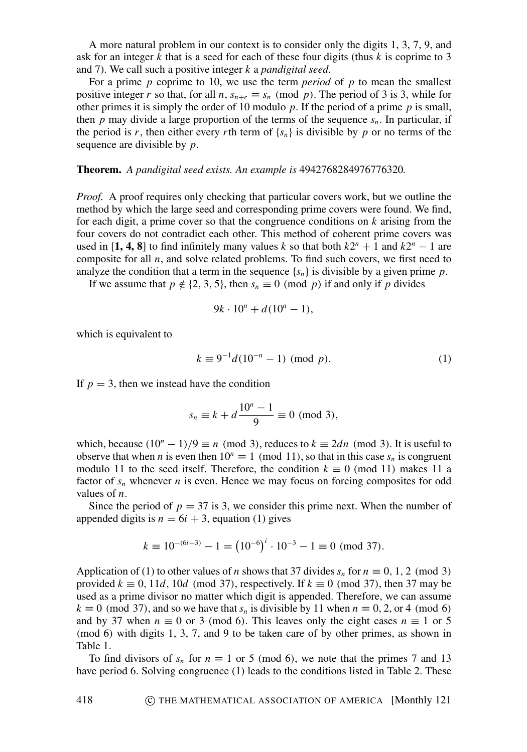A more natural problem in our context is to consider only the digits 1, 3, 7, 9, and ask for an integer *k* that is a seed for each of these four digits (thus *k* is coprime to 3 and 7). We call such a positive integer *k* a *pandigital seed*.

For a prime *p* coprime to 10, we use the term *period* of *p* to mean the smallest positive integer *r* so that, for all *n*,  $s_{n+r} \equiv s_n \pmod{p}$ . The period of 3 is 3, while for other primes it is simply the order of 10 modulo *p*. If the period of a prime *p* is small, then  $p$  may divide a large proportion of the terms of the sequence  $s_n$ . In particular, if the period is *r*, then either every *r*th term of  $\{s_n\}$  is divisible by *p* or no terms of the sequence are divisible by *p*.

## **Theorem.** *A pandigital seed exists. An example is* 4942768284976776320*.*

*Proof.* A proof requires only checking that particular covers work, but we outline the method by which the large seed and corresponding prime covers were found. We find, for each digit, a prime cover so that the congruence conditions on *k* arising from the four covers do not contradict each other. This method of coherent prime covers was used in [[1,](#page-5-9) [4,](#page-5-10) [8](#page-5-11)] to find infinitely many values *k* so that both  $k2^n + 1$  and  $k2^n - 1$  are composite for all  $n$ , and solve related problems. To find such covers, we first need to analyze the condition that a term in the sequence  $\{s_n\}$  is divisible by a given prime p.

If we assume that  $p \notin \{2, 3, 5\}$ , then  $s_n \equiv 0 \pmod{p}$  if and only if *p* divides

$$
9k \cdot 10^n + d(10^n - 1),
$$

which is equivalent to

$$
k \equiv 9^{-1}d(10^{-n} - 1) \pmod{p}.
$$
 (1)

If  $p = 3$ , then we instead have the condition

$$
s_n \equiv k + d \frac{10^n - 1}{9} \equiv 0 \pmod{3},
$$

which, because  $(10^n - 1)/9 \equiv n \pmod{3}$ , reduces to  $k \equiv 2dn \pmod{3}$ . It is useful to observe that when *n* is even then  $10^n \equiv 1 \pmod{11}$ , so that in this case  $s_n$  is congruent modulo 11 to the seed itself. Therefore, the condition  $k \equiv 0 \pmod{11}$  makes 11 a factor of  $s_n$  whenever *n* is even. Hence we may focus on forcing composites for odd values of *n*.

Since the period of  $p = 37$  is 3, we consider this prime next. When the number of appended digits is  $n = 6i + 3$ , equation (1) gives

$$
k \equiv 10^{-(6i+3)} - 1 = (10^{-6})^i \cdot 10^{-3} - 1 \equiv 0 \pmod{37}.
$$

Application of (1) to other values of *n* shows that 37 divides  $s_n$  for  $n \equiv 0, 1, 2 \pmod{3}$ provided  $k \equiv 0$ , 11*d*, 10*d* (mod 37), respectively. If  $k \equiv 0$  (mod 37), then 37 may be used as a prime divisor no matter which digit is appended. Therefore, we can assume  $k \equiv 0 \pmod{37}$ , and so we have that  $s_n$  is divisible by 11 when  $n \equiv 0, 2,$  or 4 (mod 6) and by 37 when  $n \equiv 0$  or 3 (mod 6). This leaves only the eight cases  $n \equiv 1$  or 5 (mod 6) with digits 1, 3, 7, and 9 to be taken care of by other primes, as shown in Table [1.](#page-3-0)

To find divisors of  $s_n$  for  $n \equiv 1$  or 5 (mod 6), we note that the primes 7 and 13 have period 6. Solving congruence (1) leads to the conditions listed in Table [2.](#page-3-1) These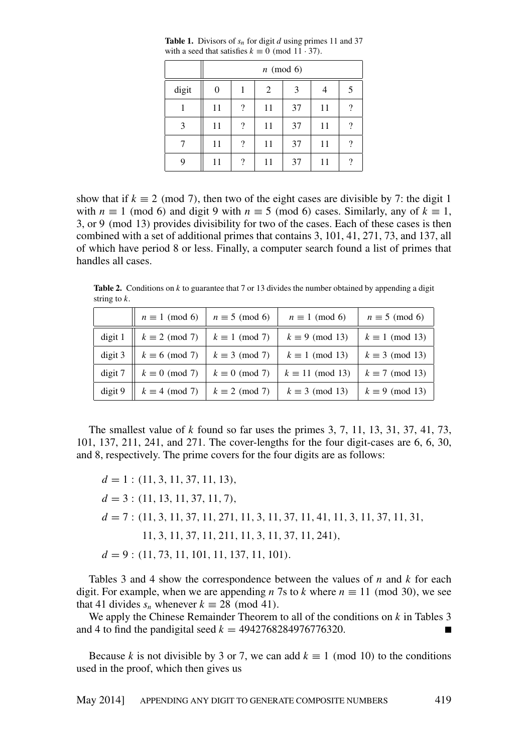|       |    |   | $n \pmod{6}$ |    |    |                    |
|-------|----|---|--------------|----|----|--------------------|
| digit | 0  |   | 2            | 3  | 4  | 5                  |
|       | 11 | ? | 11           | 37 | 11 | $\overline{\cdot}$ |
| 3     | 11 | ? | 11           | 37 | 11 | $\overline{\cdot}$ |
|       | 11 | ? | 11           | 37 | 11 | $\overline{\cdot}$ |
| 9     | 11 | ? | 11           | 37 | 11 | ?                  |

<span id="page-3-0"></span>**Table 1.** Divisors of *s<sup>n</sup>* for digit *d* using primes 11 and 37 with a seed that satisfies  $k \equiv 0 \pmod{11 \cdot 37}$ .

show that if  $k \equiv 2 \pmod{7}$ , then two of the eight cases are divisible by 7: the digit 1 with  $n \equiv 1 \pmod{6}$  and digit 9 with  $n \equiv 5 \pmod{6}$  cases. Similarly, any of  $k \equiv 1$ , 3, or 9 (mod 13) provides divisibility for two of the cases. Each of these cases is then combined with a set of additional primes that contains 3, 101, 41, 271, 73, and 137, all of which have period 8 or less. Finally, a computer search found a list of primes that handles all cases.

<span id="page-3-1"></span>**Table 2.** Conditions on *k* to guarantee that 7 or 13 divides the number obtained by appending a digit string to *k*.

|           | $n \equiv 1 \pmod{6}$           | $n \equiv 5 \pmod{6}$ | $n \equiv 1 \pmod{6}$   | $n \equiv 5 \pmod{6}$  |
|-----------|---------------------------------|-----------------------|-------------------------|------------------------|
| digit 1   | $\parallel k \equiv 2 \pmod{7}$ | $k \equiv 1 \pmod{7}$ | $k \equiv 9 \pmod{13}$  | $k \equiv 1 \pmod{13}$ |
| digit 3   | $k \equiv 6 \pmod{7}$           | $k \equiv 3 \pmod{7}$ | $k \equiv 1 \pmod{13}$  | $k \equiv 3 \pmod{13}$ |
| $digit 7$ | $k \equiv 0 \pmod{7}$           | $k \equiv 0 \pmod{7}$ | $k \equiv 11 \pmod{13}$ | $k \equiv 7 \pmod{13}$ |
| digit 9   | $k \equiv 4 \pmod{7}$           | $k \equiv 2 \pmod{7}$ | $k \equiv 3 \pmod{13}$  | $k \equiv 9 \pmod{13}$ |

The smallest value of *k* found so far uses the primes 3, 7, 11, 13, 31, 37, 41, 73, 101, 137, 211, 241, and 271. The cover-lengths for the four digit-cases are 6, 6, 30, and 8, respectively. The prime covers for the four digits are as follows:

 $d = 1$ : (11, 3, 11, 37, 11, 13),  $d = 3$ : (11, 13, 11, 37, 11, 7), *d* = 7 : (11, 3, 11, 37, 11, 271, 11, 3, 11, 37, 11, 41, 11, 3, 11, 37, 11, 31, 11, 3, 11, 37, 11, 211, 11, 3, 11, 37, 11, 241), *d* = 9 : (11, 73, 11, 101, 11, 137, 11, 101).

Tables 3 and 4 show the correspondence between the values of *n* and *k* for each digit. For example, when we are appending *n* 7s to *k* where  $n \equiv 11 \pmod{30}$ , we see that 41 divides  $s_n$  whenever  $k \equiv 28 \pmod{41}$ .

We apply the Chinese Remainder Theorem to all of the conditions on *k* in Tables 3 and 4 to find the pandigital seed  $k = 4942768284976776320$ .

Because *k* is not divisible by 3 or 7, we can add  $k \equiv 1 \pmod{10}$  to the conditions used in the proof, which then gives us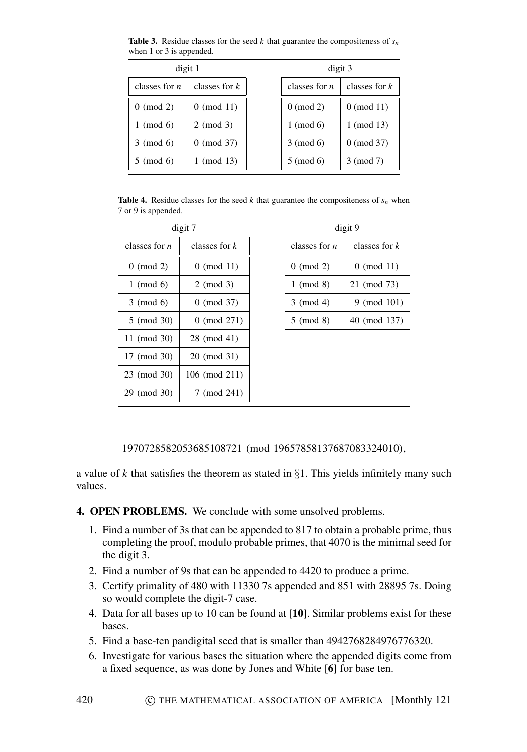**Table 3.** Residue classes for the seed  $k$  that guarantee the compositeness of  $s_n$ when 1 or 3 is appended.

| digit 1         |                 | digit 3         |                 |  |
|-----------------|-----------------|-----------------|-----------------|--|
| classes for $n$ | classes for $k$ | classes for $n$ | classes for $k$ |  |
| $0 \pmod{2}$    | $0 \pmod{11}$   | $0 \pmod{2}$    | $0 \pmod{11}$   |  |
| (mod 6)         | $2 \pmod{3}$    | $1 \pmod{6}$    | $1 \pmod{13}$   |  |
| $3 \pmod{6}$    | $0 \pmod{37}$   | $3 \pmod{6}$    | $0 \pmod{37}$   |  |
| $5 \pmod{6}$    | $1 \pmod{13}$   | $5 \pmod{6}$    | 3 (mod 7)       |  |

**Table 4.** Residue classes for the seed *k* that guarantee the compositeness of  $s_n$  when 7 or 9 is appended.

| digit 7         |                 |  |
|-----------------|-----------------|--|
| classes for $n$ | classes for $k$ |  |
| $0 \pmod{2}$    | $0 \pmod{11}$   |  |
| $1 \pmod{6}$    | $2 \pmod{3}$    |  |
| $3 \pmod{6}$    | $0 \pmod{37}$   |  |
| 5 (mod 30)      | $0 \pmod{271}$  |  |
| 11 (mod 30)     | 28 (mod 41)     |  |
| 17 (mod 30)     | 20 (mod 31)     |  |
| 23 (mod 30)     | 106 (mod 211)   |  |
| 29 (mod 30)     | 7 (mod 241)     |  |

| digit 9         |                 |  |
|-----------------|-----------------|--|
| classes for $n$ | classes for $k$ |  |
| $0 \pmod{2}$    | $0 \pmod{11}$   |  |
| $1 \pmod{8}$    | 21 (mod 73)     |  |
| $3 \pmod{4}$    | $9 \pmod{101}$  |  |
| $5 \pmod{8}$    | 40 (mod 137)    |  |

1970728582053685108721 (mod 19657858137687083324010),

a value of *k* that satisfies the theorem as stated in  $\S1$ . This yields infinitely many such values.

- **4. OPEN PROBLEMS.** We conclude with some unsolved problems.
	- 1. Find a number of 3s that can be appended to 817 to obtain a probable prime, thus completing the proof, modulo probable primes, that 4070 is the minimal seed for the digit 3.
	- 2. Find a number of 9s that can be appended to 4420 to produce a prime.
	- 3. Certify primality of 480 with 11330 7s appended and 851 with 28895 7s. Doing so would complete the digit-7 case.
	- 4. Data for all bases up to 10 can be found at [**[10](#page-5-12)**]. Similar problems exist for these bases.
	- 5. Find a base-ten pandigital seed that is smaller than 4942768284976776320.
	- 6. Investigate for various bases the situation where the appended digits come from a fixed sequence, as was done by Jones and White [**[6](#page-5-13)**] for base ten.